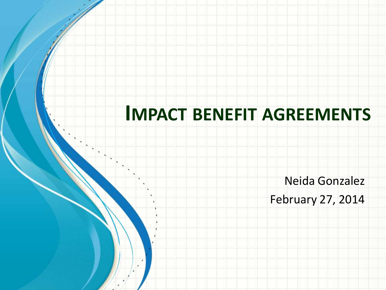#### **IMPACT BENEFIT AGREEMENTS**

Neida Gonzalez

February 27, 2014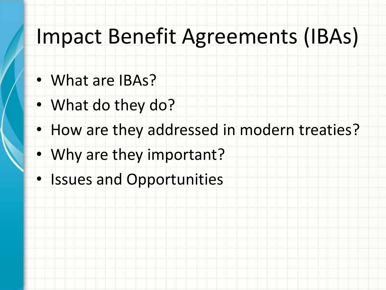# Impact Benefit Agreements (IBAs)

- What are IBAs?
- What do they do?
- How are they addressed in modern treaties?
- Why are they important?
- Issues and Opportunities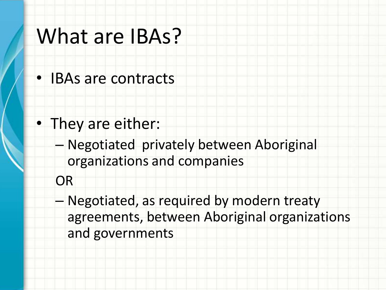#### What are IBAs?

• IBAs are contracts

- They are either:
	- Negotiated privately between Aboriginal organizations and companies
	- **OR**
	- Negotiated, as required by modern treaty agreements, between Aboriginal organizations and governments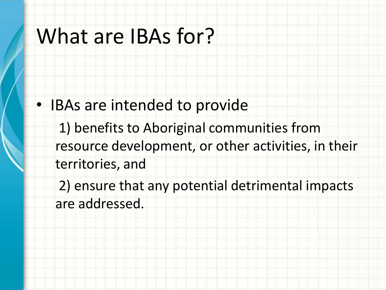# What are IBAs for?

- IBAs are intended to provide
	- 1) benefits to Aboriginal communities from resource development, or other activities, in their territories, and
	- 2) ensure that any potential detrimental impacts are addressed.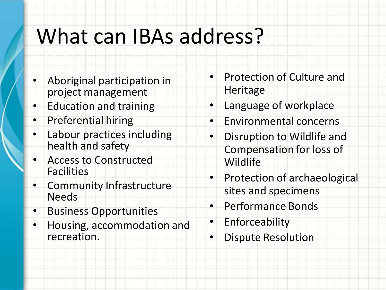# What can IBAs address?

- Aboriginal participation in project management
- **Education and training**
- Preferential hiring
- Labour practices including health and safety
- Access to Constructed **Facilities**
- Community Infrastructure Needs
- Business Opportunities
- Housing, accommodation and recreation.
- Protection of Culture and Heritage
- Language of workplace
- Environmental concerns
- Disruption to Wildlife and Compensation for loss of **Wildlife**
- Protection of archaeological sites and specimens
- Performance Bonds
- Enforceability
- Dispute Resolution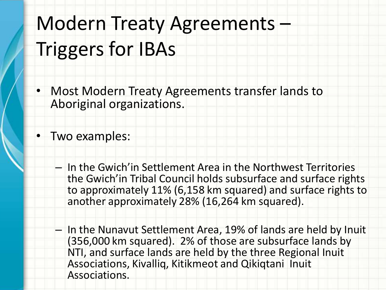# Modern Treaty Agreements – Triggers for IBAs

• Most Modern Treaty Agreements transfer lands to Aboriginal organizations.

• Two examples:

- In the Gwich'in Settlement Area in the Northwest Territories the Gwich'in Tribal Council holds subsurface and surface rights to approximately 11% (6,158 km squared) and surface rights to another approximately 28% (16,264 km squared).
- In the Nunavut Settlement Area, 19% of lands are held by Inuit (356,000 km squared). 2% of those are subsurface lands by NTI, and surface lands are held by the three Regional Inuit Associations, Kivalliq, Kitikmeot and Qikiqtani Inuit Associations.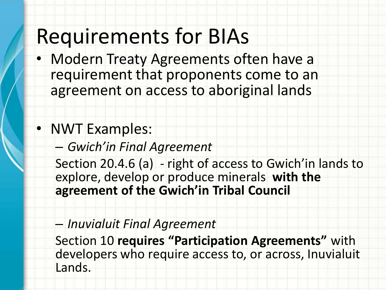## Requirements for BIAs

• Modern Treaty Agreements often have a requirement that proponents come to an agreement on access to aboriginal lands

#### • NWT Examples:

– *Gwich'in Final Agreement* 

Section 20.4.6 (a) - right of access to Gwich'in lands to explore, develop or produce minerals **with the agreement of the Gwich'in Tribal Council**

#### – *Inuvialuit Final Agreement*

Section 10 **requires "Participation Agreements"** with developers who require access to, or across, Inuvialuit Lands.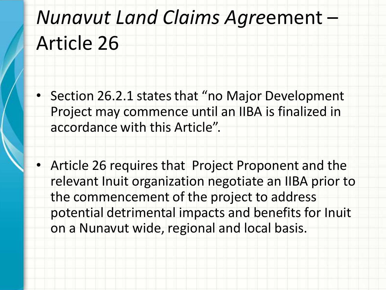# *Nunavut Land Claims Agre*ement – Article 26

- Section 26.2.1 states that "no Major Development Project may commence until an IIBA is finalized in accordance with this Article".
- Article 26 requires that Project Proponent and the relevant Inuit organization negotiate an IIBA prior to the commencement of the project to address potential detrimental impacts and benefits for Inuit on a Nunavut wide, regional and local basis.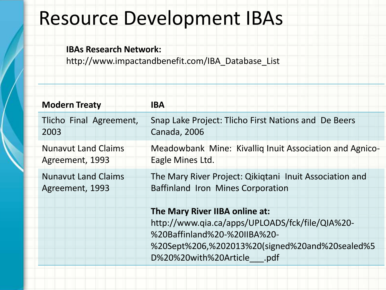#### Resource Development IBAs

#### **IBAs Research Network:**

http://www.impactandbenefit.com/IBA\_Database\_List

| <b>Modern Treaty</b>                          | <b>IBA</b>                                                                                                                                                                                        |
|-----------------------------------------------|---------------------------------------------------------------------------------------------------------------------------------------------------------------------------------------------------|
| Tlicho Final Agreement,<br>2003               | Snap Lake Project: Tlicho First Nations and De Beers<br>Canada, 2006                                                                                                                              |
| <b>Nunavut Land Claims</b><br>Agreement, 1993 | Meadowbank Mine: Kivallig Inuit Association and Agnico-<br>Eagle Mines Ltd.                                                                                                                       |
| <b>Nunavut Land Claims</b><br>Agreement, 1993 | The Mary River Project: Qikiqtani Inuit Association and<br>Baffinland Iron Mines Corporation                                                                                                      |
|                                               | The Mary River IIBA online at:<br>http://www.qia.ca/apps/UPLOADS/fck/file/QIA%20-<br>%20Baffinland%20-%20IIBA%20-<br>%20Sept%206,%202013%20(signed%20and%20sealed%5<br>D%20%20with%20Article .pdf |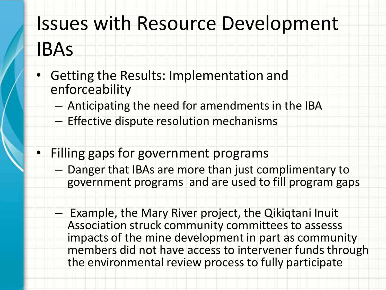## Issues with Resource Development

#### IBAs

- Getting the Results: Implementation and enforceability
	- Anticipating the need for amendments in the IBA
	- Effective dispute resolution mechanisms
- Filling gaps for government programs
	- Danger that IBAs are more than just complimentary to government programs and are used to fill program gaps
		- Example, the Mary River project, the Qikiqtani Inuit Association struck community committees to assesss impacts of the mine development in part as community members did not have access to intervener funds through the environmental review process to fully participate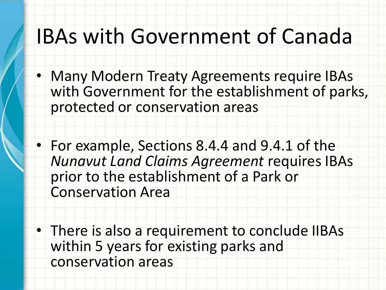## IBAs with Government of Canada

- Many Modern Treaty Agreements require IBAs with Government for the establishment of parks, protected or conservation areas
- For example, Sections 8.4.4 and 9.4.1 of the *Nunavut Land Claims Agreement* requires IBAs prior to the establishment of a Park or Conservation Area
- There is also a requirement to conclude IIBAs within 5 years for existing parks and conservation areas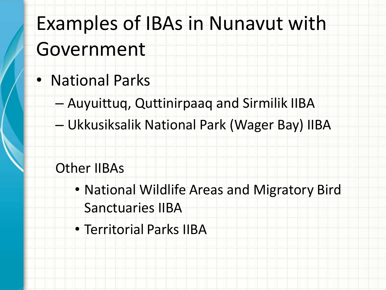# Examples of IBAs in Nunavut with Government

- National Parks
	- Auyuittuq, Quttinirpaaq and Sirmilik IIBA
	- Ukkusiksalik National Park (Wager Bay) IIBA

#### Other IIBAs

- National Wildlife Areas and Migratory Bird Sanctuaries IIBA
- Territorial Parks IIBA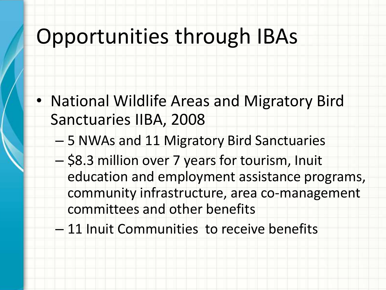# Opportunities through IBAs

- National Wildlife Areas and Migratory Bird Sanctuaries IIBA, 2008
	- 5 NWAs and 11 Migratory Bird Sanctuaries
	- \$8.3 million over 7 years for tourism, Inuit education and employment assistance programs, community infrastructure, area co-management committees and other benefits
	- 11 Inuit Communities to receive benefits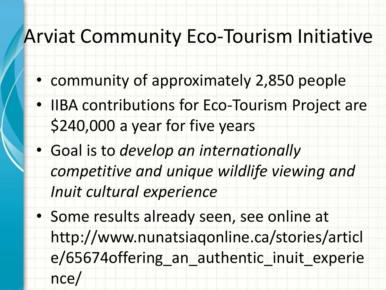## Arviat Community Eco-Tourism Initiative

- community of approximately 2,850 people
- IIBA contributions for Eco-Tourism Project are \$240,000 a year for five years
- Goal is to *develop an internationally competitive and unique wildlife viewing and Inuit cultural experience*
- Some results already seen, see online at http://www.nunatsiaqonline.ca/stories/articl e/65674offering an authentic inuit experie nce/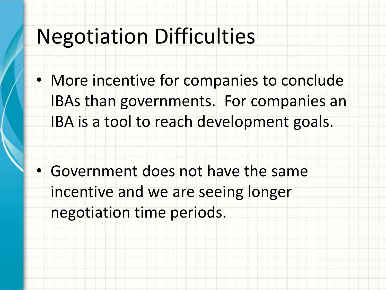## Negotiation Difficulties

• More incentive for companies to conclude IBAs than governments. For companies an IBA is a tool to reach development goals.

• Government does not have the same incentive and we are seeing longer negotiation time periods.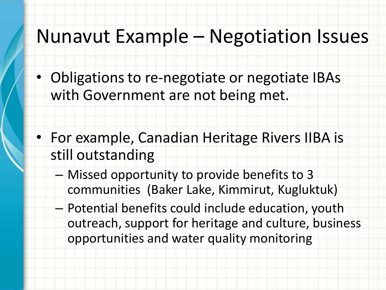#### Nunavut Example – Negotiation Issues

- Obligations to re-negotiate or negotiate IBAs with Government are not being met.
- For example, Canadian Heritage Rivers IIBA is still outstanding
	- Missed opportunity to provide benefits to 3 communities (Baker Lake, Kimmirut, Kugluktuk)
	- Potential benefits could include education, youth outreach, support for heritage and culture, business opportunities and water quality monitoring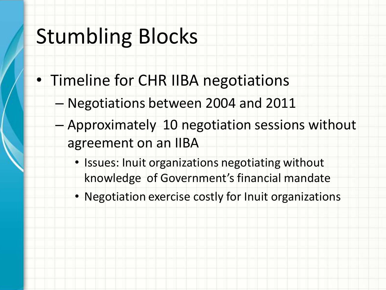# Stumbling Blocks

- Timeline for CHR IIBA negotiations
	- Negotiations between 2004 and 2011
	- Approximately 10 negotiation sessions without agreement on an IIBA
		- Issues: Inuit organizations negotiating without knowledge of Government's financial mandate
		- Negotiation exercise costly for Inuit organizations